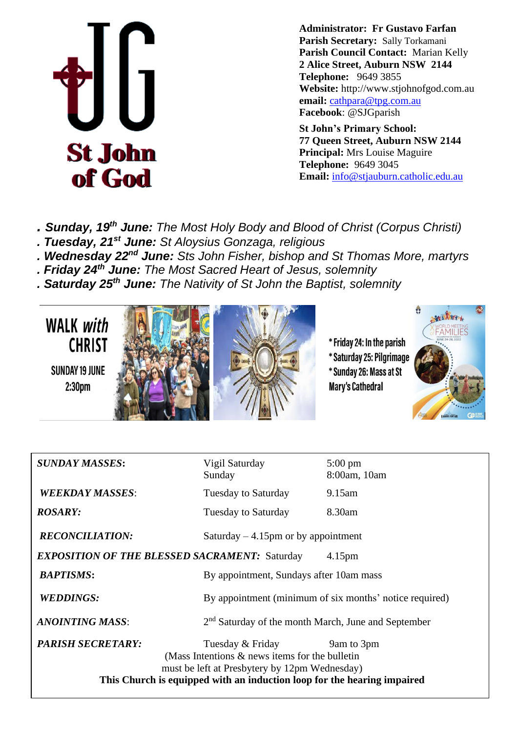

**Administrator: Fr Gustavo Farfan Parish Secretary:** Sally Torkamani **Parish Council Contact:** Marian Kelly **2 Alice Street, Auburn NSW 2144 Telephone:** 9649 3855 **Website:** http://www.stjohnofgod.com.au **email:** [cathpara@tpg.com.au](mailto:cathpara@tpg.com.au)  **Facebook**: @SJGparish

**St John's Primary School: 77 Queen Street, Auburn NSW 2144 Principal:** Mrs Louise Maguire **Telephone:** 9649 3045 **Email:** [info@stjauburn.catholic.edu.au](mailto:info@stjauburn.catholic.edu.au)

*. Sunday, 19 th June: The Most Holy Body and Blood of Christ (Corpus Christi)*

- *. Tuesday, 21 st June: St Aloysius Gonzaga, religious*
- *. Wednesday 22nd June: Sts John Fisher, bishop and St Thomas More, martyrs*
- *. Friday 24th June: The Most Sacred Heart of Jesus, solemnity*
- *. Saturday 25th June: The Nativity of St John the Baptist, solemnity*





| <b>SUNDAY MASSES:</b>                                                      | Vigil Saturday<br>Sunday                                                                                                                                                                          | $5:00 \text{ pm}$<br>8:00am, 10am |  |  |
|----------------------------------------------------------------------------|---------------------------------------------------------------------------------------------------------------------------------------------------------------------------------------------------|-----------------------------------|--|--|
| <b>WEEKDAY MASSES:</b>                                                     | Tuesday to Saturday                                                                                                                                                                               | 9.15am                            |  |  |
| <b>ROSARY:</b>                                                             | Tuesday to Saturday                                                                                                                                                                               | 8.30am                            |  |  |
| <b>RECONCILIATION:</b>                                                     | Saturday $-4.15$ pm or by appointment                                                                                                                                                             |                                   |  |  |
| <b>EXPOSITION OF THE BLESSED SACRAMENT: Saturday</b><br>4.15 <sub>pm</sub> |                                                                                                                                                                                                   |                                   |  |  |
| <b>BAPTISMS:</b>                                                           | By appointment, Sundays after 10am mass                                                                                                                                                           |                                   |  |  |
| <b>WEDDINGS:</b>                                                           | By appointment (minimum of six months' notice required)                                                                                                                                           |                                   |  |  |
| <b>ANOINTING MASS:</b>                                                     | 2 <sup>nd</sup> Saturday of the month March, June and September                                                                                                                                   |                                   |  |  |
| <b>PARISH SECRETARY:</b>                                                   | Tuesday & Friday<br>(Mass Intentions $\&$ news items for the bulletin<br>must be left at Presbytery by 12pm Wednesday)<br>This Church is equipped with an induction loop for the hearing impaired | 9am to 3pm                        |  |  |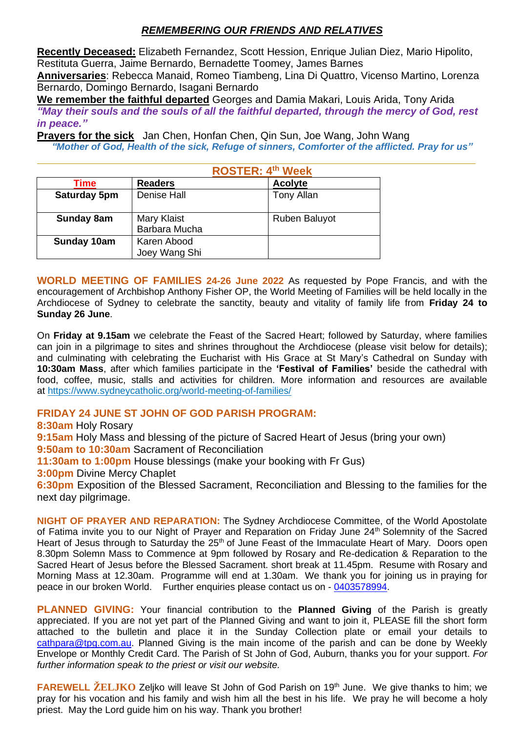# *REMEMBERING OUR FRIENDS AND RELATIVES*

**Recently Deceased:** Elizabeth Fernandez, Scott Hession, Enrique Julian Diez, Mario Hipolito, Restituta Guerra, Jaime Bernardo, Bernadette Toomey, James Barnes **Anniversaries**: Rebecca Manaid, Romeo Tiambeng, Lina Di Quattro, Vicenso Martino, Lorenza Bernardo, Domingo Bernardo, Isagani Bernardo

**We remember the faithful departed** Georges and Damia Makari, Louis Arida, Tony Arida *"May their souls and the souls of all the faithful departed, through the mercy of God, rest in peace."*

**Prayers for the sick** Jan Chen, Honfan Chen, Qin Sun, Joe Wang, John Wang *"Mother of God, Health of the sick, Refuge of sinners, Comforter of the afflicted. Pray for us"*

|                     | <b>ROSTER: 4th Week</b>             |  |                      |
|---------------------|-------------------------------------|--|----------------------|
| Time                | <b>Readers</b>                      |  | <b>Acolyte</b>       |
| <b>Saturday 5pm</b> | <b>Denise Hall</b>                  |  | <b>Tony Allan</b>    |
| <b>Sunday 8am</b>   | <b>Mary Klaist</b><br>Barbara Mucha |  | <b>Ruben Baluyot</b> |
| Sunday 10am         | Karen Abood<br>Joey Wang Shi        |  |                      |

**WORLD MEETING OF FAMILIES 24-26 June 2022** As requested by Pope Francis, and with the encouragement of Archbishop Anthony Fisher OP, the World Meeting of Families will be held locally in the Archdiocese of Sydney to celebrate the sanctity, beauty and vitality of family life from **Friday 24 to Sunday 26 June**.

On **Friday at 9.15am** we celebrate the Feast of the Sacred Heart; followed by Saturday, where families can join in a pilgrimage to sites and shrines throughout the Archdiocese (please visit below for details); and culminating with celebrating the Eucharist with His Grace at St Mary's Cathedral on Sunday with **10:30am Mass**, after which families participate in the **'Festival of Families'** beside the cathedral with food, coffee, music, stalls and activities for children. More information and resources are available at [https://www.sydneycatholic.org/world-meeting-of-families/](https://comms.sydneycatholic.org/ch/75218/bqpf0/2219776/5iE3jxMyJN1XQZAePltw9JuugHhffuKAs5lO9sHZ.html)

# **FRIDAY 24 JUNE ST JOHN OF GOD PARISH PROGRAM:**

**8:30am** Holy Rosary

**9:15am** Holy Mass and blessing of the picture of Sacred Heart of Jesus (bring your own)

**9:50am to 10:30am** Sacrament of Reconciliation

**11:30am to 1:00pm** House blessings (make your booking with Fr Gus)

**3:00pm** Divine Mercy Chaplet

**6:30pm** Exposition of the Blessed Sacrament, Reconciliation and Blessing to the families for the next day pilgrimage.

**NIGHT OF PRAYER AND REPARATION:** The Sydney Archdiocese Committee, of the World Apostolate of Fatima invite you to our Night of Prayer and Reparation on Friday June 24<sup>th</sup> Solemnity of the Sacred Heart of Jesus through to Saturday the 25<sup>th</sup> of June Feast of the Immaculate Heart of Mary. Doors open 8.30pm Solemn Mass to Commence at 9pm followed by Rosary and Re-dedication & Reparation to the Sacred Heart of Jesus before the Blessed Sacrament. short break at 11.45pm. Resume with Rosary and Morning Mass at 12.30am. Programme will end at 1.30am. We thank you for joining us in praying for peace in our broken World. Further enquiries please contact us on - [0403578994.](tel:0403578994)

**PLANNED GIVING:** Your financial contribution to the **Planned Giving** of the Parish is greatly appreciated. If you are not yet part of the Planned Giving and want to join it, PLEASE fill the short form attached to the bulletin and place it in the Sunday Collection plate or email your details to [cathpara@tpg.com.au.](mailto:cathpara@tpg.com.au) Planned Giving is the main income of the parish and can be done by Weekly Envelope or Monthly Credit Card. The Parish of St John of God, Auburn, thanks you for your support. *For further information speak to the priest or visit our website.*

**FAREWELL ZELJKO** Zeljko will leave St John of God Parish on 19<sup>th</sup> June. We give thanks to him; we pray for his vocation and his family and wish him all the best in his life. We pray he will become a holy priest. May the Lord guide him on his way. Thank you brother!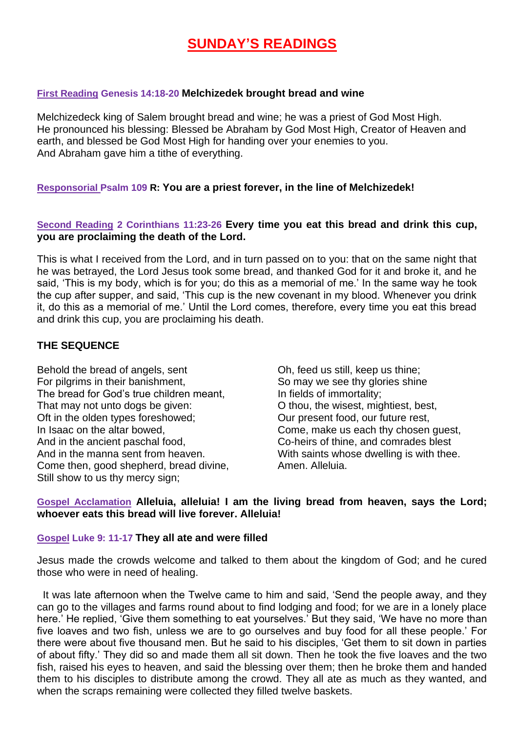# **SUNDAY'S READINGS**

### **First Reading Genesis 14:18-20 Melchizedek brought bread and wine**

Melchizedeck king of Salem brought bread and wine; he was a priest of God Most High. He pronounced his blessing: Blessed be Abraham by God Most High, Creator of Heaven and earth, and blessed be God Most High for handing over your enemies to you. And Abraham gave him a tithe of everything.

### **Responsorial Psalm 109 R: You are a priest forever, in the line of Melchizedek!**

# **Second Reading 2 Corinthians 11:23-26 Every time you eat this bread and drink this cup, you are proclaiming the death of the Lord.**

This is what I received from the Lord, and in turn passed on to you: that on the same night that he was betrayed, the Lord Jesus took some bread, and thanked God for it and broke it, and he said, 'This is my body, which is for you; do this as a memorial of me.' In the same way he took the cup after supper, and said, 'This cup is the new covenant in my blood. Whenever you drink it, do this as a memorial of me.' Until the Lord comes, therefore, every time you eat this bread and drink this cup, you are proclaiming his death.

## **THE SEQUENCE**

Behold the bread of angels, sent For pilgrims in their banishment, The bread for God's true children meant, That may not unto dogs be given: Oft in the olden types foreshowed; In Isaac on the altar bowed, And in the ancient paschal food, And in the manna sent from heaven. Come then, good shepherd, bread divine, Still show to us thy mercy sign;

Oh, feed us still, keep us thine; So may we see thy glories shine In fields of immortality; O thou, the wisest, mightiest, best, Our present food, our future rest, Come, make us each thy chosen guest, Co-heirs of thine, and comrades blest With saints whose dwelling is with thee. Amen. Alleluia.

## **Gospel Acclamation Alleluia, alleluia! I am the living bread from heaven, says the Lord; whoever eats this bread will live forever. Alleluia!**

### **Gospel Luke 9: 11-17 They all ate and were filled**

Jesus made the crowds welcome and talked to them about the kingdom of God; and he cured those who were in need of healing.

 It was late afternoon when the Twelve came to him and said, 'Send the people away, and they can go to the villages and farms round about to find lodging and food; for we are in a lonely place here.' He replied, 'Give them something to eat yourselves.' But they said, 'We have no more than five loaves and two fish, unless we are to go ourselves and buy food for all these people.' For there were about five thousand men. But he said to his disciples, 'Get them to sit down in parties of about fifty.' They did so and made them all sit down. Then he took the five loaves and the two fish, raised his eyes to heaven, and said the blessing over them; then he broke them and handed them to his disciples to distribute among the crowd. They all ate as much as they wanted, and when the scraps remaining were collected they filled twelve baskets.